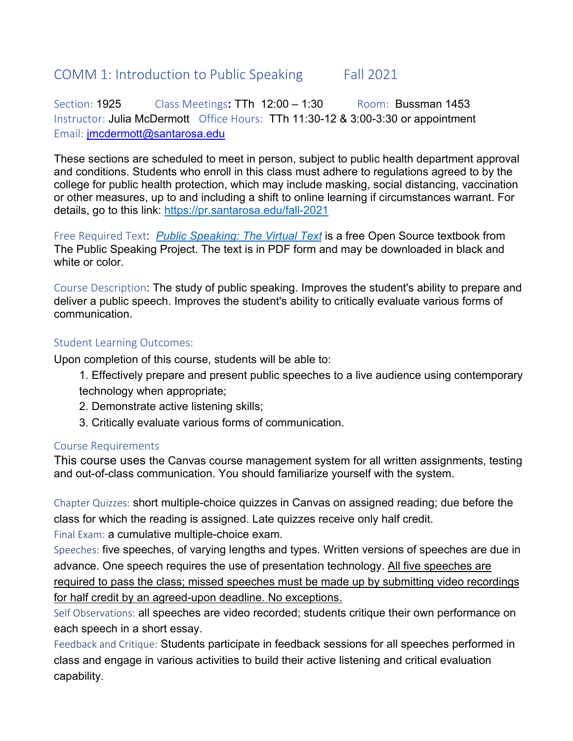# COMM 1: Introduction to Public Speaking Fall 2021

Section: 1925 Class Meetings**:** TTh 12:00 – 1:30 Room:Bussman 1453 Instructor: Julia McDermott Office Hours: TTh 11:30-12 & 3:00-3:30 or appointment Email: jmcdermott@santarosa.edu

These sections are scheduled to meet in person, subject to public health department approval and conditions. Students who enroll in this class must adhere to regulations agreed to by the college for public health protection, which may include masking, social distancing, vaccination or other measures, up to and including a shift to online learning if circumstances warrant. For details, go to this link: https://pr.santarosa.edu/fall-2021

Free Required Text: *Public Speaking: The Virtual Text* is a free Open Source textbook from The Public Speaking Project. The text is in PDF form and may be downloaded in black and white or color.

Course Description: The study of public speaking. Improves the student's ability to prepare and deliver a public speech. Improves the student's ability to critically evaluate various forms of communication.

### Student Learning Outcomes:

Upon completion of this course, students will be able to:

- 1. Effectively prepare and present public speeches to a live audience using contemporary technology when appropriate;
- 2. Demonstrate active listening skills;
- 3. Critically evaluate various forms of communication.

# Course Requirements

This course uses the Canvas course management system for all written assignments, testing and out-of-class communication. You should familiarize yourself with the system.

Chapter Quizzes: short multiple-choice quizzes in Canvas on assigned reading; due before the class for which the reading is assigned. Late quizzes receive only half credit. Final Exam: a cumulative multiple-choice exam.

Speeches: five speeches, of varying lengths and types. Written versions of speeches are due in advance. One speech requires the use of presentation technology. All five speeches are required to pass the class; missed speeches must be made up by submitting video recordings for half credit by an agreed-upon deadline. No exceptions.

Self Observations: all speeches are video recorded; students critique their own performance on each speech in a short essay.

Feedback and Critique: Students participate in feedback sessions for all speeches performed in class and engage in various activities to build their active listening and critical evaluation capability.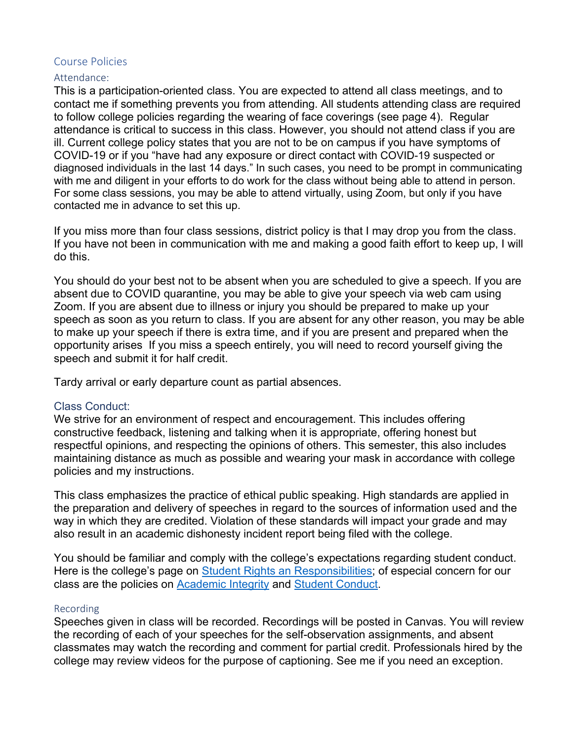#### Course Policies

#### Attendance:

This is a participation-oriented class. You are expected to attend all class meetings, and to contact me if something prevents you from attending. All students attending class are required to follow college policies regarding the wearing of face coverings (see page 4). Regular attendance is critical to success in this class. However, you should not attend class if you are ill. Current college policy states that you are not to be on campus if you have symptoms of COVID-19 or if you "have had any exposure or direct contact with COVID-19 suspected or diagnosed individuals in the last 14 days." In such cases, you need to be prompt in communicating with me and diligent in your efforts to do work for the class without being able to attend in person. For some class sessions, you may be able to attend virtually, using Zoom, but only if you have contacted me in advance to set this up.

If you miss more than four class sessions, district policy is that I may drop you from the class. If you have not been in communication with me and making a good faith effort to keep up, I will do this.

You should do your best not to be absent when you are scheduled to give a speech. If you are absent due to COVID quarantine, you may be able to give your speech via web cam using Zoom. If you are absent due to illness or injury you should be prepared to make up your speech as soon as you return to class. If you are absent for any other reason, you may be able to make up your speech if there is extra time, and if you are present and prepared when the opportunity arises If you miss a speech entirely, you will need to record yourself giving the speech and submit it for half credit.

Tardy arrival or early departure count as partial absences.

### Class Conduct:

We strive for an environment of respect and encouragement. This includes offering constructive feedback, listening and talking when it is appropriate, offering honest but respectful opinions, and respecting the opinions of others. This semester, this also includes maintaining distance as much as possible and wearing your mask in accordance with college policies and my instructions.

This class emphasizes the practice of ethical public speaking. High standards are applied in the preparation and delivery of speeches in regard to the sources of information used and the way in which they are credited. Violation of these standards will impact your grade and may also result in an academic dishonesty incident report being filed with the college.

You should be familiar and comply with the college's expectations regarding student conduct. Here is the college's page on **Student Rights an Responsibilities**; of especial concern for our class are the policies on Academic Integrity and Student Conduct.

#### Recording

Speeches given in class will be recorded. Recordings will be posted in Canvas. You will review the recording of each of your speeches for the self-observation assignments, and absent classmates may watch the recording and comment for partial credit. Professionals hired by the college may review videos for the purpose of captioning. See me if you need an exception.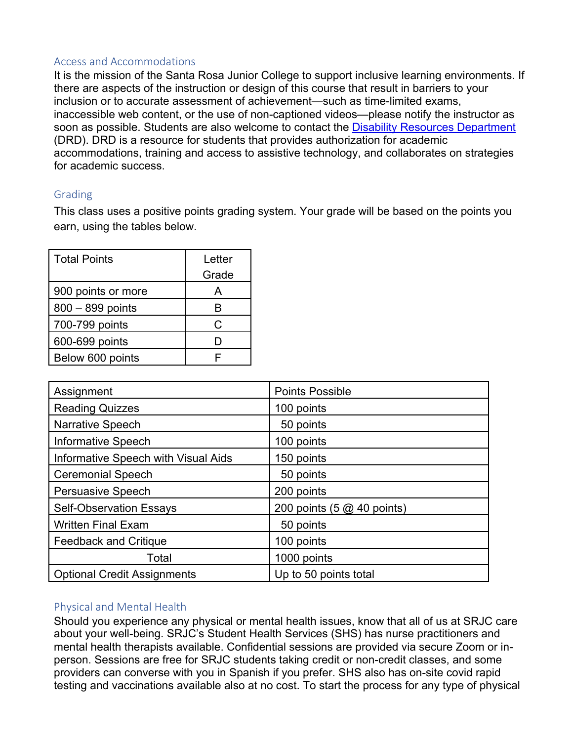### Access and Accommodations

It is the mission of the Santa Rosa Junior College to support inclusive learning environments. If there are aspects of the instruction or design of this course that result in barriers to your inclusion or to accurate assessment of achievement—such as time-limited exams, inaccessible web content, or the use of non-captioned videos—please notify the instructor as soon as possible. Students are also welcome to contact the Disability Resources Department (DRD). DRD is a resource for students that provides authorization for academic accommodations, training and access to assistive technology, and collaborates on strategies for academic success.

# Grading

This class uses a positive points grading system. Your grade will be based on the points you earn, using the tables below.

| <b>Total Points</b> | Letter<br>Grade |
|---------------------|-----------------|
| 900 points or more  | А               |
| 800 - 899 points    | R               |
| 700-799 points      | C               |
| 600-699 points      | D               |
| Below 600 points    | F               |

| Assignment                          | <b>Points Possible</b>     |
|-------------------------------------|----------------------------|
| <b>Reading Quizzes</b>              | 100 points                 |
| <b>Narrative Speech</b>             | 50 points                  |
| <b>Informative Speech</b>           | 100 points                 |
| Informative Speech with Visual Aids | 150 points                 |
| <b>Ceremonial Speech</b>            | 50 points                  |
| <b>Persuasive Speech</b>            | 200 points                 |
| <b>Self-Observation Essays</b>      | 200 points (5 @ 40 points) |
| <b>Written Final Exam</b>           | 50 points                  |
| <b>Feedback and Critique</b>        | 100 points                 |
| Total                               | 1000 points                |
| <b>Optional Credit Assignments</b>  | Up to 50 points total      |

# Physical and Mental Health

Should you experience any physical or mental health issues, know that all of us at SRJC care about your well-being. SRJC's Student Health Services (SHS) has nurse practitioners and mental health therapists available. Confidential sessions are provided via secure Zoom or inperson. Sessions are free for SRJC students taking credit or non-credit classes, and some providers can converse with you in Spanish if you prefer. SHS also has on-site covid rapid testing and vaccinations available also at no cost. To start the process for any type of physical